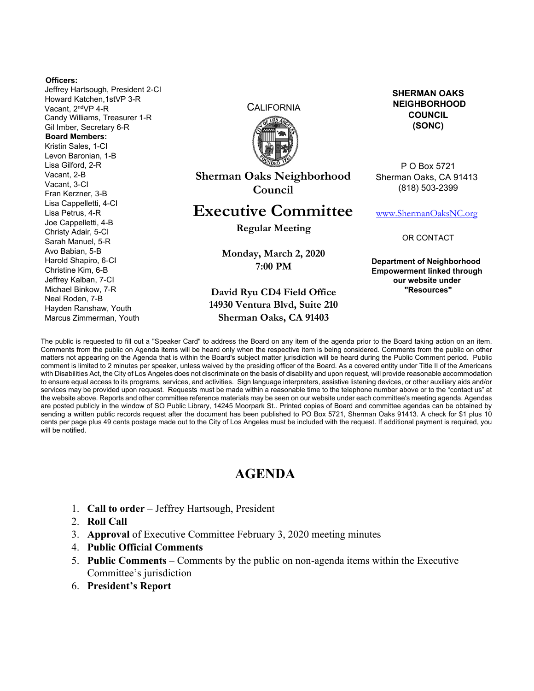#### **Officers:**

Jeffrey Hartsough, President 2-CI Howard Katchen,1stVP 3-R Vacant, 2ndVP 4-R Candy Williams, Treasurer 1-R Gil Imber, Secretary 6-R **Board Members:**  Kristin Sales, 1-CI Levon Baronian, 1-B Lisa Gilford, 2-R Vacant, 2-B Vacant, 3-CI Fran Kerzner, 3-B Lisa Cappelletti, 4-CI Lisa Petrus, 4-R Joe Cappelletti, 4-B Christy Adair, 5-CI Sarah Manuel, 5-R Avo Babian, 5-B Harold Shapiro, 6-CI Christine Kim, 6-B Jeffrey Kalban, 7-CI Michael Binkow, 7-R Neal Roden, 7-B Hayden Ranshaw, Youth Marcus Zimmerman, Youth

**CALIFORNIA** 



**Sherman Oaks Neighborhood Council** 

# **Executive Committee**

**Regular Meeting** 

**Monday, March 2, 2020 7:00 PM** 

### **David Ryu CD4 Field Office 14930 Ventura Blvd, Suite 210 Sherman Oaks, CA 91403**

**SHERMAN OAKS NEIGHBORHOOD COUNCIL (SONC)** 

P O Box 5721 Sherman Oaks, CA 91413 (818) 503-2399

www.ShermanOaksNC.org

OR CONTACT

**Department of Neighborhood Empowerment linked through our website under "Resources"** 

The public is requested to fill out a "Speaker Card" to address the Board on any item of the agenda prior to the Board taking action on an item. Comments from the public on Agenda items will be heard only when the respective item is being considered. Comments from the public on other matters not appearing on the Agenda that is within the Board's subject matter jurisdiction will be heard during the Public Comment period. Public comment is limited to 2 minutes per speaker, unless waived by the presiding officer of the Board. As a covered entity under Title II of the Americans with Disabilities Act, the City of Los Angeles does not discriminate on the basis of disability and upon request, will provide reasonable accommodation to ensure equal access to its programs, services, and activities. Sign language interpreters, assistive listening devices, or other auxiliary aids and/or services may be provided upon request. Requests must be made within a reasonable time to the telephone number above or to the "contact us" at the website above. Reports and other committee reference materials may be seen on our website under each committee's meeting agenda. Agendas are posted publicly in the window of SO Public Library, 14245 Moorpark St.. Printed copies of Board and committee agendas can be obtained by sending a written public records request after the document has been published to PO Box 5721, Sherman Oaks 91413. A check for \$1 plus 10 cents per page plus 49 cents postage made out to the City of Los Angeles must be included with the request. If additional payment is required, you will be notified.

# **AGENDA**

- 1. **Call to order** Jeffrey Hartsough, President
- 2. **Roll Call**
- 3. **Approval** of Executive Committee February 3, 2020 meeting minutes
- 4. **Public Official Comments**
- 5. **Public Comments** Comments by the public on non-agenda items within the Executive Committee's jurisdiction
- 6. **President's Report**